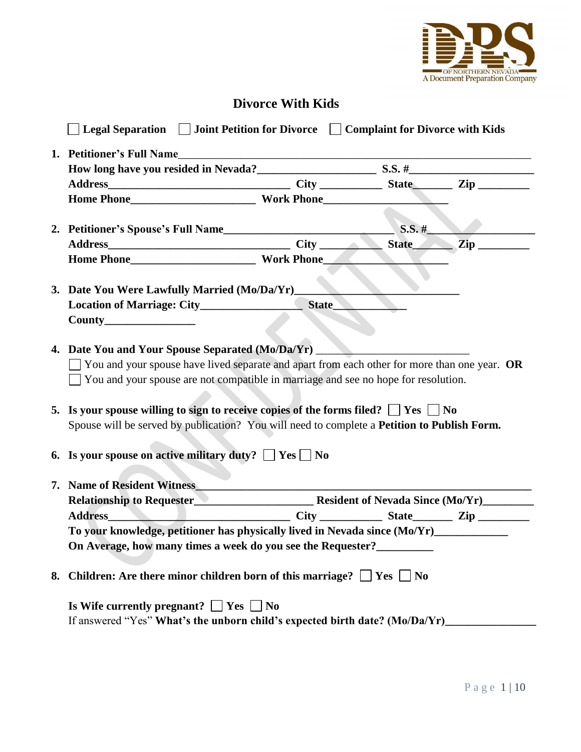

# **Divorce With Kids**

| $\Box$ Legal Separation $\Box$ Joint Petition for Divorce $\Box$ Complaint for Divorce with Kids                                                                                                                                                                                                                                                                                                                                                                                                                               |        |          |  |
|--------------------------------------------------------------------------------------------------------------------------------------------------------------------------------------------------------------------------------------------------------------------------------------------------------------------------------------------------------------------------------------------------------------------------------------------------------------------------------------------------------------------------------|--------|----------|--|
|                                                                                                                                                                                                                                                                                                                                                                                                                                                                                                                                |        |          |  |
|                                                                                                                                                                                                                                                                                                                                                                                                                                                                                                                                |        |          |  |
|                                                                                                                                                                                                                                                                                                                                                                                                                                                                                                                                |        |          |  |
|                                                                                                                                                                                                                                                                                                                                                                                                                                                                                                                                |        |          |  |
| 2. Petitioner's Spouse's Full Name                                                                                                                                                                                                                                                                                                                                                                                                                                                                                             |        | $S.S.$ # |  |
|                                                                                                                                                                                                                                                                                                                                                                                                                                                                                                                                |        |          |  |
|                                                                                                                                                                                                                                                                                                                                                                                                                                                                                                                                |        |          |  |
| 3. Date You Were Lawfully Married (Mo/Da/Yr)____                                                                                                                                                                                                                                                                                                                                                                                                                                                                               |        |          |  |
|                                                                                                                                                                                                                                                                                                                                                                                                                                                                                                                                | State_ |          |  |
|                                                                                                                                                                                                                                                                                                                                                                                                                                                                                                                                |        |          |  |
| 4. Date You and Your Spouse Separated (Mo/Da/Yr)<br>$\blacksquare$ You and your spouse have lived separate and apart from each other for more than one year. OR<br>$\Box$ You and your spouse are not compatible in marriage and see no hope for resolution.<br>5. Is your spouse willing to sign to receive copies of the forms filed? $\Box$ Yes $\Box$ No<br>Spouse will be served by publication? You will need to complete a Petition to Publish Form.<br>6. Is your spouse on active military duty? $\Box$ Yes $\Box$ No |        |          |  |
| 7. Name of Resident Witness                                                                                                                                                                                                                                                                                                                                                                                                                                                                                                    |        |          |  |
| Relationship to Requester <b>Metallical Contract Contract Contract Contract Contract Contract Contract Contract Contract Contract Contract Contract Contract Contract Contract Contract Contract Contract Contract Contract Cont</b>                                                                                                                                                                                                                                                                                           |        |          |  |
| Address Zip                                                                                                                                                                                                                                                                                                                                                                                                                                                                                                                    |        |          |  |
| To your knowledge, petitioner has physically lived in Nevada since (Mo/Yr)                                                                                                                                                                                                                                                                                                                                                                                                                                                     |        |          |  |
| On Average, how many times a week do you see the Requester?_____________________                                                                                                                                                                                                                                                                                                                                                                                                                                               |        |          |  |
| 8. Children: Are there minor children born of this marriage? $\Box$ Yes $\Box$ No                                                                                                                                                                                                                                                                                                                                                                                                                                              |        |          |  |
| Is Wife currently pregnant? $\Box$ Yes $\Box$ No<br>If answered "Yes" What's the unborn child's expected birth date? (Mo/Da/Yr)                                                                                                                                                                                                                                                                                                                                                                                                |        |          |  |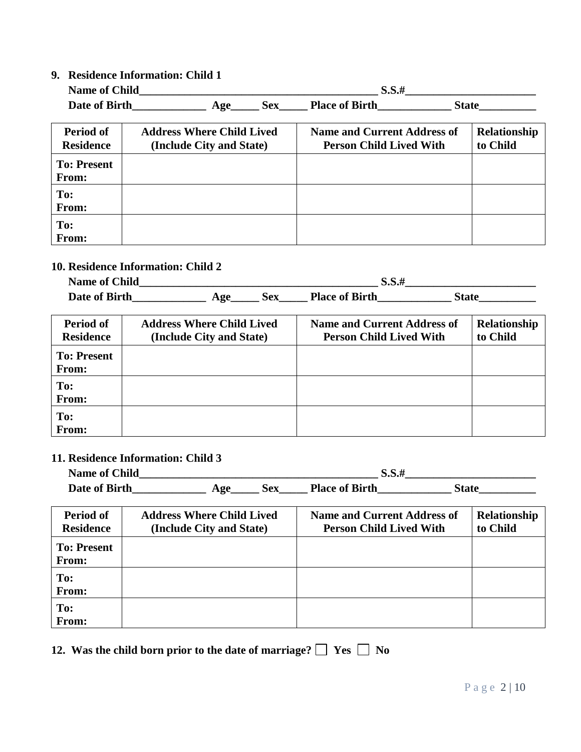# **9. Residence Information: Child 1**

| <b>Name of Child</b> |     |     | <b>D.D.</b>           |       |
|----------------------|-----|-----|-----------------------|-------|
| Date of Birth        | Age | Sex | <b>Place of Birth</b> | State |

| Period of<br><b>Residence</b>      | <b>Address Where Child Lived</b><br>(Include City and State) | <b>Name and Current Address of</b><br><b>Person Child Lived With</b> | Relationship<br>to Child |
|------------------------------------|--------------------------------------------------------------|----------------------------------------------------------------------|--------------------------|
| <b>To: Present</b><br><b>From:</b> |                                                              |                                                                      |                          |
| To:<br>From:                       |                                                              |                                                                      |                          |
| To:<br>From:                       |                                                              |                                                                      |                          |

# **10. Residence Information: Child 2**

| <b>Name of Child</b> |     |     | D.D.H                 |       |
|----------------------|-----|-----|-----------------------|-------|
| Date of Birth        | Age | Sex | <b>Place of Birth</b> | State |

| Period of<br><b>Residence</b> | <b>Address Where Child Lived</b><br>(Include City and State) | <b>Name and Current Address of</b><br><b>Person Child Lived With</b> | Relationship<br>to Child |
|-------------------------------|--------------------------------------------------------------|----------------------------------------------------------------------|--------------------------|
| <b>To: Present</b><br>From:   |                                                              |                                                                      |                          |
| To:<br>From:                  |                                                              |                                                                      |                          |
| To:<br>From:                  |                                                              |                                                                      |                          |

# **11. Residence Information: Child 3**

| <b>Name of Child</b> |                    |     | 3.3.t                 |       |
|----------------------|--------------------|-----|-----------------------|-------|
| Date of Birth        | $\bf{A}$ <i>ge</i> | Sex | <b>Place of Birth</b> | State |

| Period of<br><b>Residence</b> | <b>Address Where Child Lived</b><br>(Include City and State) | <b>Name and Current Address of</b><br><b>Person Child Lived With</b> | Relationship<br>to Child |
|-------------------------------|--------------------------------------------------------------|----------------------------------------------------------------------|--------------------------|
| <b>To: Present</b><br>From:   |                                                              |                                                                      |                          |
| To:<br>From:                  |                                                              |                                                                      |                          |
| To:<br>From:                  |                                                              |                                                                      |                          |

|  |  |  | 12. Was the child born prior to the date of marriage? $\Box$ Yes $\Box$ No |  |  |
|--|--|--|----------------------------------------------------------------------------|--|--|
|--|--|--|----------------------------------------------------------------------------|--|--|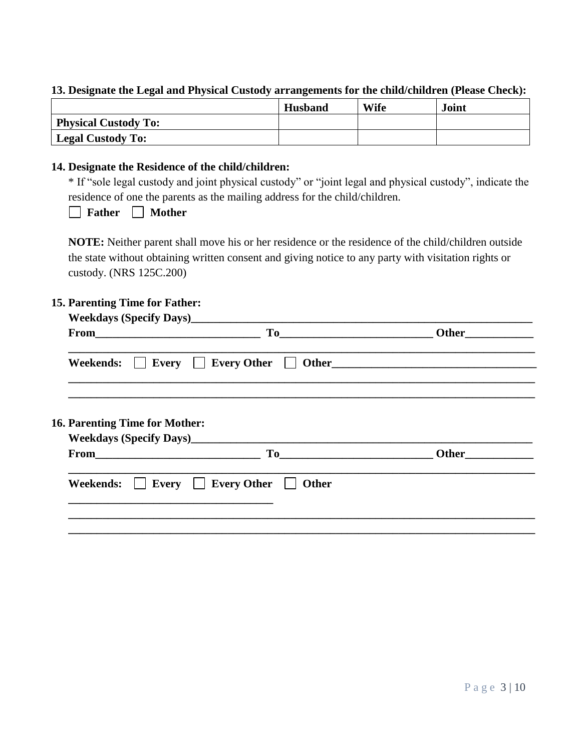# **13. Designate the Legal and Physical Custody arrangements for the child/children (Please Check):**

|                                | <b>Husband</b> | Wife | <b>Joint</b> |
|--------------------------------|----------------|------|--------------|
| <b>Physical Custody To:</b>    |                |      |              |
| <sup>1</sup> Legal Custody To: |                |      |              |

# **14. Designate the Residence of the child/children:**

\* If "sole legal custody and joint physical custody" or "joint legal and physical custody", indicate the residence of one the parents as the mailing address for the child/children.

**Father** Mother

**NOTE:** Neither parent shall move his or her residence or the residence of the child/children outside the state without obtaining written consent and giving notice to any party with visitation rights or custody. (NRS 125C.200)

#### **15. Parenting Time for Father:**

| $From$ [2007] [2007] [2007] [2007] [2007] [2007] [2007] [2007] [2007] [2007] [2007] [2007] [2007] [2007] [2007] [2007] [2007] [2007] [2007] [2007] [2007] [2007] [2007] [2007] [2007] [2007] [2007] [2007] [2007] [2007] [2007]       |                            |
|---------------------------------------------------------------------------------------------------------------------------------------------------------------------------------------------------------------------------------------|----------------------------|
| Weekends: Every Every Other Other Other                                                                                                                                                                                               |                            |
| <b>16. Parenting Time for Mother:</b>                                                                                                                                                                                                 |                            |
| To<br>$From$ [2007] [2007] [2007] [2007] [2007] [2007] [2007] [2007] [2007] [2007] [2007] [2007] [2007] [2007] [2007] [2007] [2007] [2007] [2007] [2007] [2007] [2007] [2007] [2007] [2007] [2007] [2007] [2007] [2007] [2007] [2007] | Other <u>with the same</u> |
| Every Every Other<br><b>Other</b>                                                                                                                                                                                                     |                            |
|                                                                                                                                                                                                                                       |                            |
|                                                                                                                                                                                                                                       |                            |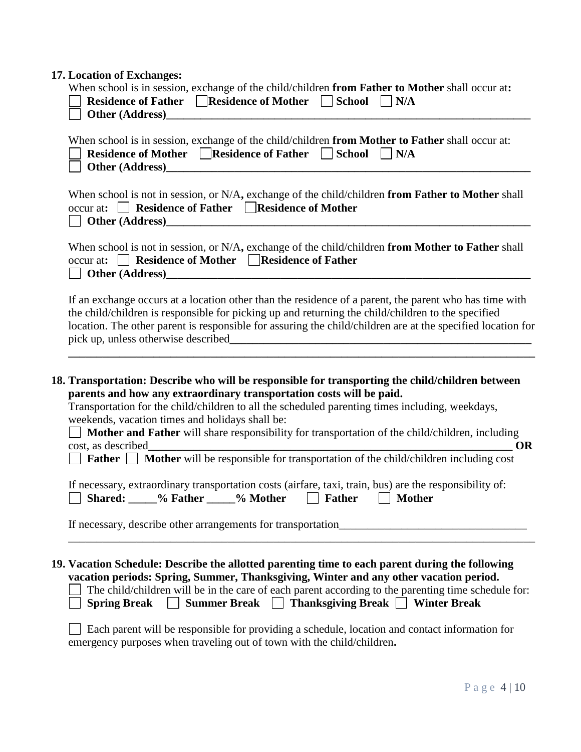# **17. Location of Exchanges:**

| When school is in session, exchange of the child/children from Father to Mother shall occur at:<br>Residence of Father □ Residence of Mother □ School □ N/A                                                                                                                                                                                                                                                                                                          |
|----------------------------------------------------------------------------------------------------------------------------------------------------------------------------------------------------------------------------------------------------------------------------------------------------------------------------------------------------------------------------------------------------------------------------------------------------------------------|
| When school is in session, exchange of the child/children from Mother to Father shall occur at:<br>Residence of Mother Residence of Father School N/A                                                                                                                                                                                                                                                                                                                |
| When school is not in session, or N/A, exchange of the child/children from Father to Mother shall<br>occur at: $\Box$ Residence of Father $\Box$ Residence of Mother<br><u>Department of the contract of the contract of the contract of the contract of the contract of the contract of the contract of the contract of the contract of the contract of the contract of the contract of the contract of</u>                                                         |
| When school is not in session, or N/A, exchange of the child/children from Mother to Father shall<br>occur at: Residence of Mother Residence of Father                                                                                                                                                                                                                                                                                                               |
| If an exchange occurs at a location other than the residence of a parent, the parent who has time with<br>the child/children is responsible for picking up and returning the child/children to the specified<br>location. The other parent is responsible for assuring the child/children are at the specified location for                                                                                                                                          |
| 18. Transportation: Describe who will be responsible for transporting the child/children between<br>parents and how any extraordinary transportation costs will be paid.<br>Transportation for the child/children to all the scheduled parenting times including, weekdays,<br>weekends, vacation times and holidays shall be:<br>Mother and Father will share responsibility for transportation of the child/children, including<br>cost, as described<br><b>OR</b> |
| <b>Father Mother</b> will be responsible for transportation of the child/children including cost<br>If necessary, extraordinary transportation costs (airfare, taxi, train, bus) are the responsibility of:<br>Shared: ____% Father ____% Mother<br>$\Box$<br><b>Mother</b><br>Father                                                                                                                                                                                |
| If necessary, describe other arrangements for transportation                                                                                                                                                                                                                                                                                                                                                                                                         |
| 19. Vacation Schedule: Describe the allotted parenting time to each parent during the following<br>vacation periods: Spring, Summer, Thanksgiving, Winter and any other vacation period.<br>The child/children will be in the care of each parent according to the parenting time schedule for:<br>Summer Break □ Thanksgiving Break □ Winter Break<br>Spring Break                                                                                                  |
| Each parent will be responsible for providing a schedule, location and contact information for<br>emergency purposes when traveling out of town with the child/children.                                                                                                                                                                                                                                                                                             |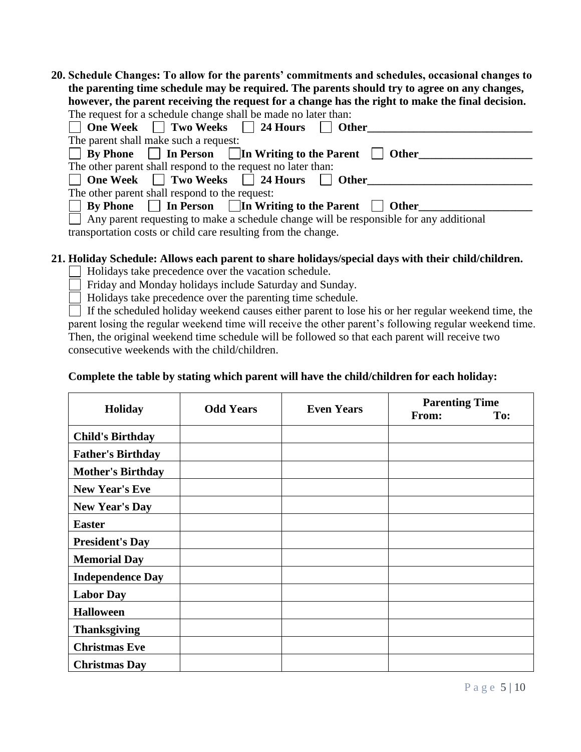**20. Schedule Changes: To allow for the parents' commitments and schedules, occasional changes to the parenting time schedule may be required. The parents should try to agree on any changes, however, the parent receiving the request for a change has the right to make the final decision.**<br>The request for a schodule change shall be made no later than: The request for a schedule change shall be made i

| The request for a schedule change shall be made no fater than:                                |
|-----------------------------------------------------------------------------------------------|
| ◯ One Week ◯ Two Weeks ◯ 24 Hours ◯ Other                                                     |
| The parent shall make such a request:                                                         |
| $\Box$ By Phone $\Box$ In Person $\Box$ In Writing to the Parent $\Box$ Other                 |
| The other parent shall respond to the request no later than:                                  |
| □ One Week □ Two Weeks □ 24 Hours □ Other                                                     |
| The other parent shall respond to the request:                                                |
| $\Box$ By Phone $\Box$ In Person $\Box$ In Writing to the Parent $\Box$ Other                 |
| $\Box$ Any parent requesting to make a schedule change will be responsible for any additional |
| transportation costs or child care resulting from the change.                                 |

# **21. Holiday Schedule: Allows each parent to share holidays/special days with their child/children.**

Holidays take precedence over the vacation schedule.

Friday and Monday holidays include Saturday and Sunday.

Holidays take precedence over the parenting time schedule.

 $\Box$  If the scheduled holiday weekend causes either parent to lose his or her regular weekend time, the parent losing the regular weekend time will receive the other parent's following regular weekend time. Then, the original weekend time schedule will be followed so that each parent will receive two consecutive weekends with the child/children.

### **Complete the table by stating which parent will have the child/children for each holiday:**

| <b>Holiday</b>           | <b>Odd Years</b> | <b>Even Years</b> | <b>Parenting Time</b><br>From: | To: |
|--------------------------|------------------|-------------------|--------------------------------|-----|
| <b>Child's Birthday</b>  |                  |                   |                                |     |
| <b>Father's Birthday</b> |                  |                   |                                |     |
| <b>Mother's Birthday</b> |                  |                   |                                |     |
| <b>New Year's Eve</b>    |                  |                   |                                |     |
| <b>New Year's Day</b>    |                  |                   |                                |     |
| <b>Easter</b>            |                  |                   |                                |     |
| <b>President's Day</b>   |                  |                   |                                |     |
| <b>Memorial Day</b>      |                  |                   |                                |     |
| <b>Independence Day</b>  |                  |                   |                                |     |
| <b>Labor Day</b>         |                  |                   |                                |     |
| <b>Halloween</b>         |                  |                   |                                |     |
| <b>Thanksgiving</b>      |                  |                   |                                |     |
| <b>Christmas Eve</b>     |                  |                   |                                |     |
| <b>Christmas Day</b>     |                  |                   |                                |     |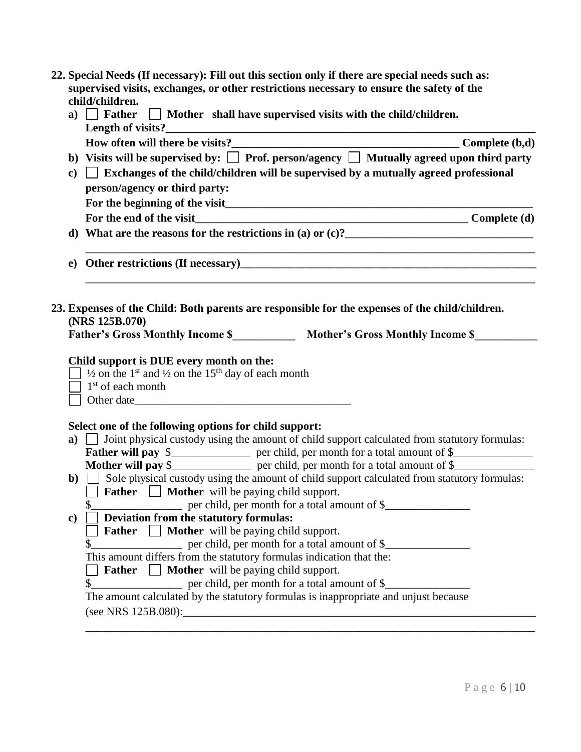| 22. Special Needs (If necessary): Fill out this section only if there are special needs such as: |
|--------------------------------------------------------------------------------------------------|
| supervised visits, exchanges, or other restrictions necessary to ensure the safety of the        |
| child/children.                                                                                  |

| a)            | $\Box$ Father $\Box$ Mother shall have supervised visits with the child/children.                                                                                                                                                    |  |
|---------------|--------------------------------------------------------------------------------------------------------------------------------------------------------------------------------------------------------------------------------------|--|
|               |                                                                                                                                                                                                                                      |  |
|               | b) Visits will be supervised by: $\Box$ Prof. person/agency $\Box$ Mutually agreed upon third party                                                                                                                                  |  |
| $\mathbf{c})$ | $\Box$ Exchanges of the child/children will be supervised by a mutually agreed professional                                                                                                                                          |  |
|               | person/agency or third party:                                                                                                                                                                                                        |  |
|               |                                                                                                                                                                                                                                      |  |
|               |                                                                                                                                                                                                                                      |  |
|               | d) What are the reasons for the restrictions in (a) or $(c)$ ?                                                                                                                                                                       |  |
|               | e) Other restrictions (If necessary)<br><u>e</u> and the contract of the contract of the contract of the contract of the contract of the contract of the contract of the contract of the contract of the contract of the contract of |  |
|               | (NRS 125B.070)<br>Father's Gross Monthly Income \$_____________ Mother's Gross Monthly Income \$_________                                                                                                                            |  |
|               | Child support is DUE every month on the:<br>$\frac{1}{2}$ 1/2 on the 1 <sup>st</sup> and 1/2 on the 15 <sup>th</sup> day of each month<br>$1st$ of each month<br>Other date                                                          |  |
|               | Select one of the following options for child support:                                                                                                                                                                               |  |
|               | a) $\Box$ Joint physical custody using the amount of child support calculated from statutory formulas:<br><b>Father will pay </b> \$                                                                                                 |  |
|               | Mother will pay \$__________________ per child, per month for a total amount of \$___________________                                                                                                                                |  |
|               | $\bullet$ Sole physical custody using the amount of child support calculated from statutory formulas:                                                                                                                                |  |
|               | <b>Father Mother</b> will be paying child support.                                                                                                                                                                                   |  |
|               | \$                                                                                                                                                                                                                                   |  |
| $\mathbf{c}$  | Deviation from the statutory formulas:                                                                                                                                                                                               |  |
|               | <b>Father</b>   <b>Mother</b> will be paying child support.                                                                                                                                                                          |  |
|               | er child, per month for a total amount of \$                                                                                                                                                                                         |  |
|               | This amount differs from the statutory formulas indication that the:                                                                                                                                                                 |  |
|               | <b>Father</b> Mother will be paying child support.                                                                                                                                                                                   |  |
|               | per child, per month for a total amount of \$_<br>\$                                                                                                                                                                                 |  |
|               | The amount calculated by the statutory formulas is inappropriate and unjust because                                                                                                                                                  |  |
|               |                                                                                                                                                                                                                                      |  |

\_\_\_\_\_\_\_\_\_\_\_\_\_\_\_\_\_\_\_\_\_\_\_\_\_\_\_\_\_\_\_\_\_\_\_\_\_\_\_\_\_\_\_\_\_\_\_\_\_\_\_\_\_\_\_\_\_\_\_\_\_\_\_\_\_\_\_\_\_\_\_\_\_\_\_\_\_\_\_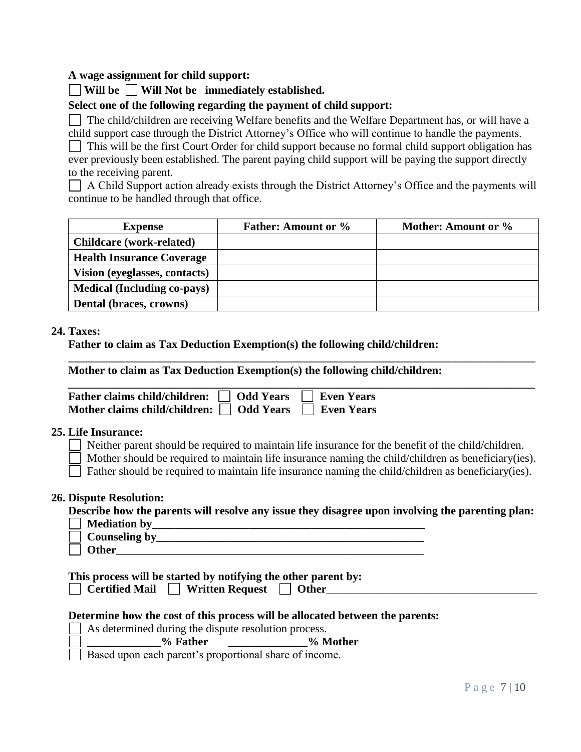### **A wage assignment for child support:**

### **Will be Will Not be immediately established.**

### **Select one of the following regarding the payment of child support:**

 $\Box$  The child/children are receiving Welfare benefits and the Welfare Department has, or will have a

child support case through the District Attorney's Office who will continue to handle the payments.  $\Box$  This will be the first Court Order for child support because no formal child support obligation has ever previously been established. The parent paying child support will be paying the support directly to the receiving parent.

 $\Box$  A Child Support action already exists through the District Attorney's Office and the payments will continue to be handled through that office.

| <b>Expense</b>                     | <b>Father: Amount or %</b> | Mother: Amount or % |
|------------------------------------|----------------------------|---------------------|
| <b>Childcare</b> (work-related)    |                            |                     |
| <b>Health Insurance Coverage</b>   |                            |                     |
| Vision (eyeglasses, contacts)      |                            |                     |
| <b>Medical (Including co-pays)</b> |                            |                     |
| Dental (braces, crowns)            |                            |                     |

### **24. Taxes:**

**Father to claim as Tax Deduction Exemption(s) the following child/children:**

**Mother to claim as Tax Deduction Exemption(s) the following child/children:**

| Father claims child/children: □ Odd Years □ Even Years           |  |
|------------------------------------------------------------------|--|
| Mother claims child/children: $\Box$ Odd Years $\Box$ Even Years |  |

#### **25. Life Insurance:**

Neither parent should be required to maintain life insurance for the benefit of the child/children.

\_\_\_\_\_\_\_\_\_\_\_\_\_\_\_\_\_\_\_\_\_\_\_\_\_\_\_\_\_\_\_\_\_\_\_\_\_\_\_\_\_\_\_\_\_\_\_\_\_\_\_\_\_\_\_\_\_\_\_\_\_\_\_\_\_\_\_\_\_\_\_\_\_\_\_\_\_\_\_\_\_\_\_\_\_\_\_\_\_\_

Mother should be required to maintain life insurance naming the child/children as beneficiary(ies).

 $\Box$  Father should be required to maintain life insurance naming the child/children as beneficiary(ies).

#### **26. Dispute Resolution:**

**Describe how the parents will resolve any issue they disagree upon involving the parenting plan:**

|  | <b>Mediation by</b> |  |
|--|---------------------|--|
|  |                     |  |

 **Counseling by**  $\Box$  Other

**This process will be started by notifying the other parent by:**

| <b>Certified Mail</b> | <b>Written Request</b> |  | <b>Other</b> |
|-----------------------|------------------------|--|--------------|
|-----------------------|------------------------|--|--------------|

#### **Determine how the cost of this process will be allocated between the parents:**

 $\Box$  As determined during the dispute resolution process.

**\_\_\_\_\_\_\_\_\_\_\_\_\_% Father \_\_\_\_\_\_\_\_\_\_\_\_\_\_% Mother** 

 $\overline{\Box}$  Based upon each parent's proportional share of income.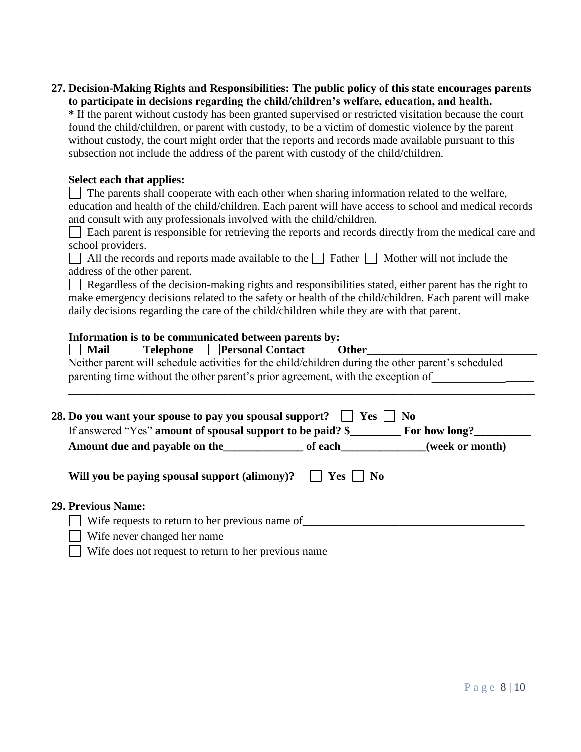| 27. Decision-Making Rights and Responsibilities: The public policy of this state encourages parents |  |
|-----------------------------------------------------------------------------------------------------|--|
| to participate in decisions regarding the child/children's welfare, education, and health.          |  |

**\*** If the parent without custody has been granted supervised or restricted visitation because the court found the child/children, or parent with custody, to be a victim of domestic violence by the parent without custody, the court might order that the reports and records made available pursuant to this subsection not include the address of the parent with custody of the child/children.

### **Select each that applies:**

| $\Box$ The parents shall cooperate with each other when sharing information related to the welfare,    |
|--------------------------------------------------------------------------------------------------------|
| education and health of the child/children. Each parent will have access to school and medical records |
| and consult with any professionals involved with the child/children.                                   |

Each parent is responsible for retrieving the reports and records directly from the medical care and school providers.

| All the records and reports made available to the $\Box$ Father $\Box$ Mother will not include the |  |  |
|----------------------------------------------------------------------------------------------------|--|--|
| address of the other parent.                                                                       |  |  |

 $\Box$  Regardless of the decision-making rights and responsibilities stated, either parent has the right to make emergency decisions related to the safety or health of the child/children. Each parent will make daily decisions regarding the care of the child/children while they are with that parent.

# **Information is to be communicated between parents by:**

| Neither parent will schedule activities for the child/children during the other parent's scheduled<br>parenting time without the other parent's prior agreement, with the exception of |                |
|----------------------------------------------------------------------------------------------------------------------------------------------------------------------------------------|----------------|
|                                                                                                                                                                                        |                |
|                                                                                                                                                                                        |                |
| 28. Do you want your spouse to pay you spousal support? $\Box$ Yes $\Box$<br>If answered "Yes" amount of spousal support to be paid? \$ For how long?                                  | N <sub>0</sub> |

#### **29. Previous Name:**

| Wife requests to return to her previous name of |
|-------------------------------------------------|
|                                                 |

| $\Box$ Wife requests to return to her  |
|----------------------------------------|
| $\Box$ Wife never changed her name     |
| $\Box$ Wife does not request to return |

|  |  |  |  | Wife does not request to return to her previous name |  |
|--|--|--|--|------------------------------------------------------|--|
|--|--|--|--|------------------------------------------------------|--|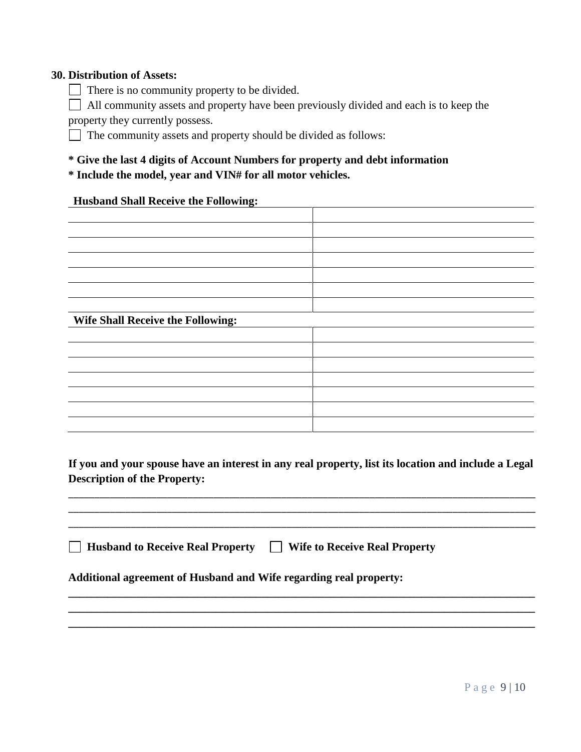### **30. Distribution of Assets:**

□ There is no community property to be divided.

All community assets and property have been previously divided and each is to keep the property they currently possess.

□ The community assets and property should be divided as follows:

# **\* Give the last 4 digits of Account Numbers for property and debt information**

**\* Include the model, year and VIN# for all motor vehicles.**

#### **Husband Shall Receive the Following:**

| Wife Shall Receive the Following: |  |
|-----------------------------------|--|
|                                   |  |
|                                   |  |
|                                   |  |
|                                   |  |
|                                   |  |

# **If you and your spouse have an interest in any real property, list its location and include a Legal Description of the Property:**

\_\_\_\_\_\_\_\_\_\_\_\_\_\_\_\_\_\_\_\_\_\_\_\_\_\_\_\_\_\_\_\_\_\_\_\_\_\_\_\_\_\_\_\_\_\_\_\_\_\_\_\_\_\_\_\_\_\_\_\_\_\_\_\_\_\_\_\_\_\_\_\_\_\_\_\_\_\_\_\_\_\_\_\_\_\_\_\_\_\_ \_\_\_\_\_\_\_\_\_\_\_\_\_\_\_\_\_\_\_\_\_\_\_\_\_\_\_\_\_\_\_\_\_\_\_\_\_\_\_\_\_\_\_\_\_\_\_\_\_\_\_\_\_\_\_\_\_\_\_\_\_\_\_\_\_\_\_\_\_\_\_\_\_\_\_\_\_\_\_\_\_\_\_\_\_\_\_\_\_\_ \_\_\_\_\_\_\_\_\_\_\_\_\_\_\_\_\_\_\_\_\_\_\_\_\_\_\_\_\_\_\_\_\_\_\_\_\_\_\_\_\_\_\_\_\_\_\_\_\_\_\_\_\_\_\_\_\_\_\_\_\_\_\_\_\_\_\_\_\_\_\_\_\_\_\_\_\_\_\_\_\_\_\_\_\_\_\_\_\_\_

**\_\_\_\_\_\_\_\_\_\_\_\_\_\_\_\_\_\_\_\_\_\_\_\_\_\_\_\_\_\_\_\_\_\_\_\_\_\_\_\_\_\_\_\_\_\_\_\_\_\_\_\_\_\_\_\_\_\_\_\_\_\_\_\_\_\_\_\_\_\_\_\_\_\_\_\_\_\_\_\_\_\_ \_\_\_\_\_\_\_\_\_\_\_\_\_\_\_\_\_\_\_\_\_\_\_\_\_\_\_\_\_\_\_\_\_\_\_\_\_\_\_\_\_\_\_\_\_\_\_\_\_\_\_\_\_\_\_\_\_\_\_\_\_\_\_\_\_\_\_\_\_\_\_\_\_\_\_\_\_\_\_\_\_\_ \_\_\_\_\_\_\_\_\_\_\_\_\_\_\_\_\_\_\_\_\_\_\_\_\_\_\_\_\_\_\_\_\_\_\_\_\_\_\_\_\_\_\_\_\_\_\_\_\_\_\_\_\_\_\_\_\_\_\_\_\_\_\_\_\_\_\_\_\_\_\_\_\_\_\_\_\_\_\_\_\_\_**

 **Husband to Receive Real Property Wife to Receive Real Property**

# **Additional agreement of Husband and Wife regarding real property:**